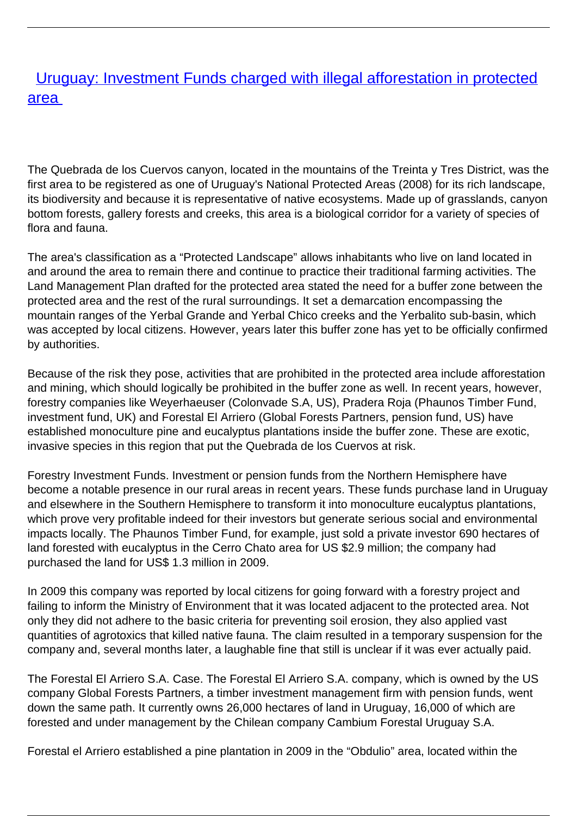## **[Uruguay: Investment Funds charged with illegal afforestation in protected](/bulletin-articles/uruguay-investment-funds-charged-with-illegal-afforestation-in-protected-area)** [area](/bulletin-articles/uruguay-investment-funds-charged-with-illegal-afforestation-in-protected-area)

The Quebrada de los Cuervos canyon, located in the mountains of the Treinta y Tres District, was the first area to be registered as one of Uruguay's National Protected Areas (2008) for its rich landscape, its biodiversity and because it is representative of native ecosystems. Made up of grasslands, canyon bottom forests, gallery forests and creeks, this area is a biological corridor for a variety of species of flora and fauna.

The area's classification as a "Protected Landscape" allows inhabitants who live on land located in and around the area to remain there and continue to practice their traditional farming activities. The Land Management Plan drafted for the protected area stated the need for a buffer zone between the protected area and the rest of the rural surroundings. It set a demarcation encompassing the mountain ranges of the Yerbal Grande and Yerbal Chico creeks and the Yerbalito sub-basin, which was accepted by local citizens. However, years later this buffer zone has yet to be officially confirmed by authorities.

Because of the risk they pose, activities that are prohibited in the protected area include afforestation and mining, which should logically be prohibited in the buffer zone as well. In recent years, however, forestry companies like Weyerhaeuser (Colonvade S.A, US), Pradera Roja (Phaunos Timber Fund, investment fund, UK) and Forestal El Arriero (Global Forests Partners, pension fund, US) have established monoculture pine and eucalyptus plantations inside the buffer zone. These are exotic, invasive species in this region that put the Quebrada de los Cuervos at risk.

Forestry Investment Funds. Investment or pension funds from the Northern Hemisphere have become a notable presence in our rural areas in recent years. These funds purchase land in Uruguay and elsewhere in the Southern Hemisphere to transform it into monoculture eucalyptus plantations, which prove very profitable indeed for their investors but generate serious social and environmental impacts locally. The Phaunos Timber Fund, for example, just sold a private investor 690 hectares of land forested with eucalyptus in the Cerro Chato area for US \$2.9 million; the company had purchased the land for US\$ 1.3 million in 2009.

In 2009 this company was reported by local citizens for going forward with a forestry project and failing to inform the Ministry of Environment that it was located adjacent to the protected area. Not only they did not adhere to the basic criteria for preventing soil erosion, they also applied vast quantities of agrotoxics that killed native fauna. The claim resulted in a temporary suspension for the company and, several months later, a laughable fine that still is unclear if it was ever actually paid.

The Forestal El Arriero S.A. Case. The Forestal El Arriero S.A. company, which is owned by the US company Global Forests Partners, a timber investment management firm with pension funds, went down the same path. It currently owns 26,000 hectares of land in Uruguay, 16,000 of which are forested and under management by the Chilean company Cambium Forestal Uruguay S.A.

Forestal el Arriero established a pine plantation in 2009 in the "Obdulio" area, located within the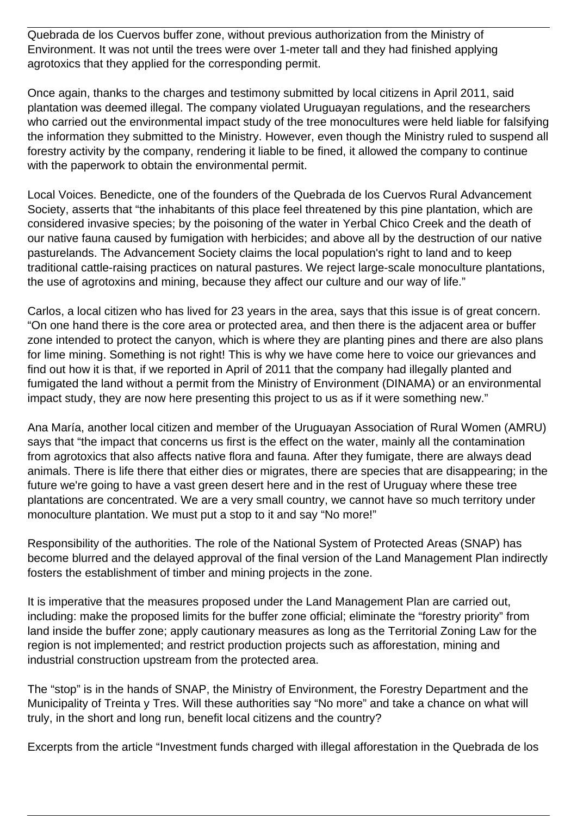Quebrada de los Cuervos buffer zone, without previous authorization from the Ministry of Environment. It was not until the trees were over 1-meter tall and they had finished applying agrotoxics that they applied for the corresponding permit.

Once again, thanks to the charges and testimony submitted by local citizens in April 2011, said plantation was deemed illegal. The company violated Uruguayan regulations, and the researchers who carried out the environmental impact study of the tree monocultures were held liable for falsifying the information they submitted to the Ministry. However, even though the Ministry ruled to suspend all forestry activity by the company, rendering it liable to be fined, it allowed the company to continue with the paperwork to obtain the environmental permit.

Local Voices. Benedicte, one of the founders of the Quebrada de los Cuervos Rural Advancement Society, asserts that "the inhabitants of this place feel threatened by this pine plantation, which are considered invasive species; by the poisoning of the water in Yerbal Chico Creek and the death of our native fauna caused by fumigation with herbicides; and above all by the destruction of our native pasturelands. The Advancement Society claims the local population's right to land and to keep traditional cattle-raising practices on natural pastures. We reject large-scale monoculture plantations, the use of agrotoxins and mining, because they affect our culture and our way of life."

Carlos, a local citizen who has lived for 23 years in the area, says that this issue is of great concern. "On one hand there is the core area or protected area, and then there is the adjacent area or buffer zone intended to protect the canyon, which is where they are planting pines and there are also plans for lime mining. Something is not right! This is why we have come here to voice our grievances and find out how it is that, if we reported in April of 2011 that the company had illegally planted and fumigated the land without a permit from the Ministry of Environment (DINAMA) or an environmental impact study, they are now here presenting this project to us as if it were something new."

Ana María, another local citizen and member of the Uruguayan Association of Rural Women (AMRU) says that "the impact that concerns us first is the effect on the water, mainly all the contamination from agrotoxics that also affects native flora and fauna. After they fumigate, there are always dead animals. There is life there that either dies or migrates, there are species that are disappearing; in the future we're going to have a vast green desert here and in the rest of Uruguay where these tree plantations are concentrated. We are a very small country, we cannot have so much territory under monoculture plantation. We must put a stop to it and say "No more!"

Responsibility of the authorities. The role of the National System of Protected Areas (SNAP) has become blurred and the delayed approval of the final version of the Land Management Plan indirectly fosters the establishment of timber and mining projects in the zone.

It is imperative that the measures proposed under the Land Management Plan are carried out, including: make the proposed limits for the buffer zone official; eliminate the "forestry priority" from land inside the buffer zone; apply cautionary measures as long as the Territorial Zoning Law for the region is not implemented; and restrict production projects such as afforestation, mining and industrial construction upstream from the protected area.

The "stop" is in the hands of SNAP, the Ministry of Environment, the Forestry Department and the Municipality of Treinta y Tres. Will these authorities say "No more" and take a chance on what will truly, in the short and long run, benefit local citizens and the country?

Excerpts from the article "Investment funds charged with illegal afforestation in the Quebrada de los